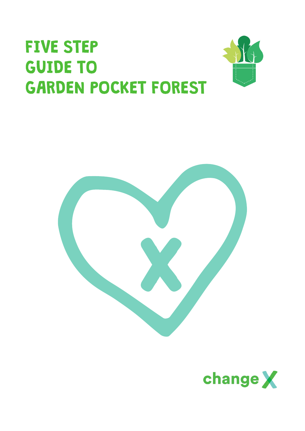# FIVE STEP GUIDE TO GARDEN POCKET FOREST





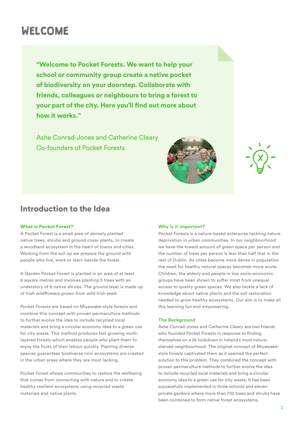### WELCOME

"Welcome to Pocket Forests. We want to help your school or community group create a native pocket of biodiversity on your doorstep. Collaborate with friends, colleagues or neighbours to bring a forest to your part of the city. Here you'll find out more about how it works."

Ashe Conrad-Jones and Catherine Cleary Co-founders of Pocket Forests



### Introduction to the Idea

#### What is Pocket Forest?

A Pocket Forest is a small area of densely planted native trees, shrubs and ground cover plants, to create a woodland ecosystem in the heart of towns and cities. Working from the soil up we prepare the ground with people who live, work or learn beside the forest.

A Garden Pocket Forest is planted in an area of at least 6 square metres and involves planting 5 trees with an understory of 6 native shrubs. The ground layer is made up of Irish wildflowers grown from wild Irish seed.

Pocket Forests are based on Miyawake-style forests and combine this concept with proven permaculture methods to further evolve the idea to include recycled local materials and bring a circular economy idea to a green use for city waste. This method produces fast growing multilayered forests which enables people who plant them to enjoy the fruits of their labour quickly. Planting diverse species guarantees biodiverse mini ecosystems are created in the urban areas where they are most lacking.

Pocket Forest allows communities to restore the wellbeing that comes from connecting with nature and to create healthy resilient ecosystems using recycled waste materials and native plants.

#### **Why is it important?**

Pocket Forests is a nature-based enterprise tackling nature deprivation in urban communities. In our neighbourhood we have the lowest amount of green space per person and the number of trees per person is less than half that in the rest of Dublin. As cities become more dense in population the need for healthy natural spaces becomes more acute. Children, the elderly and people in low socio-economic groups have been shown to suffer most from unequal access to quality green spaces. We also tackle a lack of knowledge about native plants and the soil restoration needed to grow healthy ecosystems. Our aim is to make all this learning fun and empowering.

#### **The Background**

Ashe Conrad-Jones and Catherine Cleary are two friends who founded Pocket Forests in response to finding themselves on a 2k lockdown in Ireland's most naturestarved neighbourhood. The original concept of Miyawakestyle forests captivated them as it seemed the perfect solution to this problem. They combined the concept with proven permaculture methods to further evolve the idea to include recycled local materials and bring a circular economy idea to a green use for city waste. It has been successfully implemented in three schools and eleven private gardens where more than 720 trees and shrubs have been combined to form native forest ecosystems.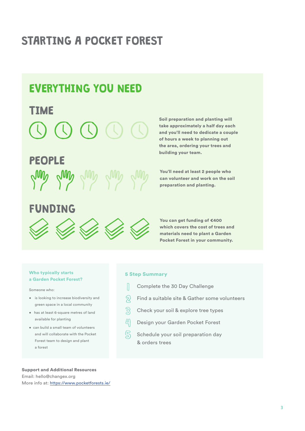# STARTING A POCKET FOREST

### EVERYTHING YOU NEED

### TIME

### PEOPLE



#### Soil preparation and planting will take approximately a half day each and you'll need to dedicate a couple of hours a week to planning out the area, ordering your trees and building your team.

You'll need at least 2 people who can volunteer and work on the soil preparation and planting.

### FUNDING



You can get funding of €400 which covers the cost of trees and materials need to plant a Garden Pocket Forest in your community.

#### Who typically starts a Garden Pocket Forest?

Someone who:

- is looking to increase biodiversity and green space in a local community
- has at least 6-square metres of land available for planting
- can build a small team of volunteers and will collaborate with the Pocket Forest team to design and plant a forest

#### 5 Step Summary

- $\mathbb{R}$ Complete the 30 Day Challenge
- $\sqrt{2}$  Find a suitable site & Gather some volunteers
- $\mathbb{S}$  Check your soil & explore tree types
- அ Design your Garden Pocket Forest
- $\mathbb{S}$ Schedule your soil preparation day & orders trees

Support and Additional Resources Email: hello@changex.org More info at: <https://www.pocketforests.ie/>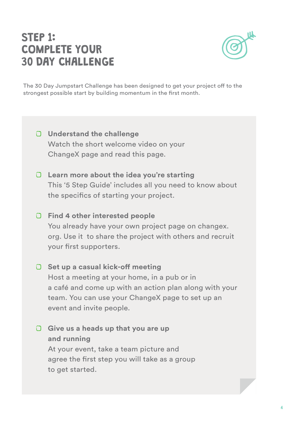### STEP 1: COMPLETE YOUR 30 DAY CHALLENGE



The 30 Day Jumpstart Challenge has been designed to get your project off to the strongest possible start by building momentum in the first month.

- **Understand the challenge** Watch the short welcome video on your ChangeX page and read this page.
- **Learn more about the idea you're starting** This '5 Step Guide' includes all you need to know about the specifics of starting your project.
- **Find 4 other interested people**  You already have your own project page on changex. org. Use it to share the project with others and recruit your first supporters.
- **Set up a casual kick-off meeting** Host a meeting at your home, in a pub or in a café and come up with an action plan along with your team. You can use your ChangeX page to set up an event and invite people.
- **Give us a heads up that you are up and running**

At your event, take a team picture and agree the first step you will take as a group to get started.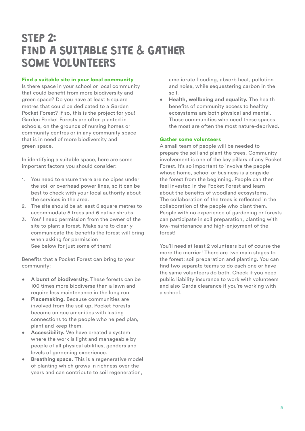### STEP 2: FIND A SUITABLE SITE & GATHER SOME VOLUNTEERS

#### Find a suitable site in your local community

Is there space in your school or local community that could benefit from more biodiversity and green space? Do you have at least 6 square metres that could be dedicated to a Garden Pocket Forest? If so, this is the project for you! Garden Pocket Forests are often planted in schools, on the grounds of nursing homes or community centres or in any community space that is in need of more biodiversity and green space.

In identifying a suitable space, here are some important factors you should consider:

- 1. You need to ensure there are no pipes under the soil or overhead power lines, so it can be best to check with your local authority about the services in the area.
- 2. The site should be at least 6 square metres to accommodate 5 trees and 6 native shrubs.
- 3. You'll need permission from the owner of the site to plant a forest. Make sure to clearly communicate the benefits the forest will bring when asking for permission See below for just some of them!

Benefits that a Pocket Forest can bring to your community:

- **A burst of biodiversity.** These forests can be 100 times more biodiverse than a lawn and require less maintenance in the long run.
- **Placemaking.** Because communities are involved from the soil up, Pocket Forests become unique amenities with lasting connections to the people who helped plan, plant and keep them.
- **Accessibility.** We have created a system where the work is light and manageable by people of all physical abilities, genders and levels of gardening experience.
- **Breathing space.** This is a regenerative model of planting which grows in richness over the years and can contribute to soil regeneration,

ameliorate flooding, absorb heat, pollution and noise, while sequestering carbon in the soil.

• **Health, wellbeing and equality.** The health benefits of community access to healthy ecosystems are both physical and mental. Those communities who need these spaces the most are often the most nature-deprived.

#### Gather some volunteers

A small team of people will be needed to prepare the soil and plant the trees. Community involvement is one of the key pillars of any Pocket Forest. It's so important to involve the people whose home, school or business is alongside the forest from the beginning. People can then feel invested in the Pocket Forest and learn about the benefits of woodland ecosystems. The collaboration of the trees is reflected in the collaboration of the people who plant them. People with no experience of gardening or forests can participate in soil preparation, planting with low-maintenance and high-enjoyment of the forest!

You'll need at least 2 volunteers but of course the more the merrier! There are two main stages to the forest: soil preparation and planting. You can find two separate teams to do each one or have the same volunteers do both. Check if you need public liability insurance to work with volunteers and also Garda clearance if you're working with a school.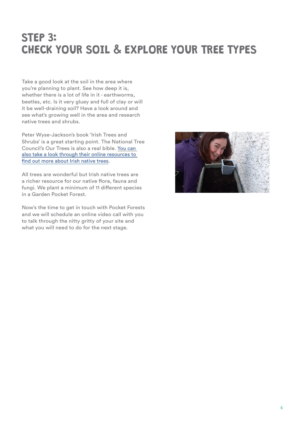### STEP 3: CHECK YOUR SOIL & EXPLORE YOUR TREE TYPES

Take a good look at the soil in the area where you're planning to plant. See how deep it is, whether there is a lot of life in it - earthworms, beetles, etc. Is it very gluey and full of clay or will it be well-draining soil? Have a look around and see what's growing well in the area and research native trees and shrubs.

Peter Wyse-Jackson's book 'Irish Trees and Shrubs' is a great starting point. The National Tree Council's Our Trees is also a real bible. [You can](https://www.treecouncil.ie/native-irish-trees)  [also take a look through their online resources to](https://www.treecouncil.ie/native-irish-trees)  [find out more about Irish native trees.](https://www.treecouncil.ie/native-irish-trees)

All trees are wonderful but Irish native trees are a richer resource for our native flora, fauna and fungi. We plant a minimum of 11 different species in a Garden Pocket Forest.

Now's the time to get in touch with Pocket Forests and we will schedule an online video call with you to talk through the nitty gritty of your site and what you will need to do for the next stage.

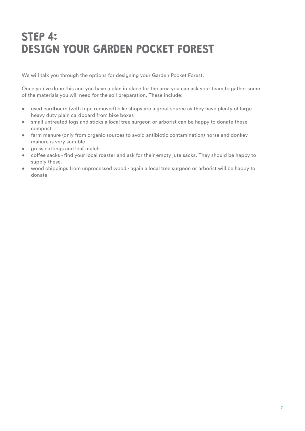## STEP 4: DESIGN YOUR GARDEN POCKET FOREST

We will talk you through the options for designing your Garden Pocket Forest.

Once you've done this and you have a plan in place for the area you can ask your team to gather some of the materials you will need for the soil preparation. These include:

- used cardboard (with tape removed) bike shops are a great source as they have plenty of large heavy duty plain cardboard from bike boxes
- small untreated logs and sticks a local tree surgeon or arborist can be happy to donate these compost
- farm manure (only from organic sources to avoid antibiotic contamination) horse and donkey manure is very suitable
- grass cuttings and leaf mulch
- coffee sacks find your local roaster and ask for their empty jute sacks. They should be happy to supply these.
- wood chippings from unprocessed wood again a local tree surgeon or arborist will be happy to donate